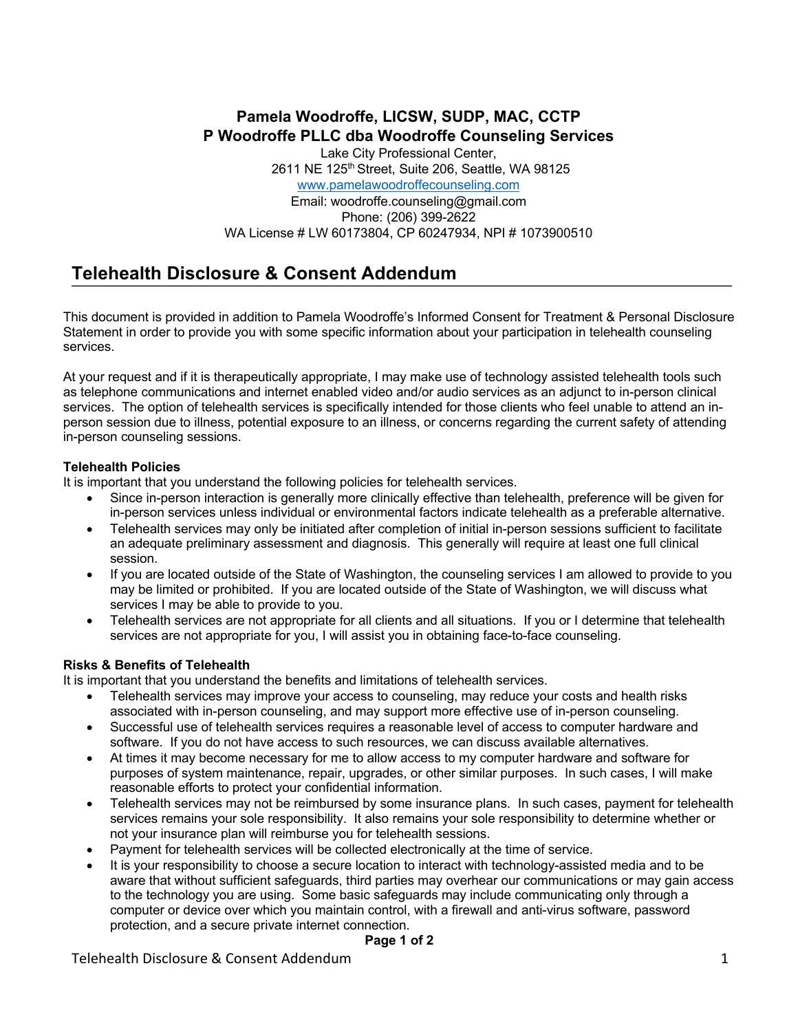# **Pamela Woodroffe, LICSW, SUDP, MAC, CCTP P Woodroffe PLLC dba Woodroffe Counseling Services**

Lake City Professional Center, 2611 NE 125<sup>th</sup> Street, Suite 206, Seattle, WA 98125 www.pamelawoodroffecounseling.com Email: woodroffe.counseling@gmail.com Phone: (206) 399-2622 WA License # LW 60173804, CP 60247934, NPI # 1073900510

# **Telehealth Disclosure & Consent Addendum**

This document is provided in addition to Pamela Woodroffe's Informed Consent for Treatment & Personal Disclosure Statement in order to provide you with some specific information about your participation in telehealth counseling services.

At your request and if it is therapeutically appropriate, I may make use of technology assisted telehealth tools such as telephone communications and internet enabled video and/or audio services as an adjunct to in-person clinical services. The option of telehealth services is specifically intended for those clients who feel unable to attend an inperson session due to illness, potential exposure to an illness, or concerns regarding the current safety of attending in-person counseling sessions.

# **Telehealth Policies**

It is important that you understand the following policies for telehealth services.

- Since in-person interaction is generally more clinically effective than telehealth, preference will be given for in-person services unless individual or environmental factors indicate telehealth as a preferable alternative.
- Telehealth services may only be initiated after completion of initial in-person sessions sufficient to facilitate an adequate preliminary assessment and diagnosis. This generally will require at least one full clinical session.
- If you are located outside of the State of Washington, the counseling services I am allowed to provide to you may be limited or prohibited. If you are located outside of the State of Washington, we will discuss what services I may be able to provide to you.
- Telehealth services are not appropriate for all clients and all situations. If you or I determine that telehealth services are not appropriate for you, I will assist you in obtaining face-to-face counseling.

# **Risks & Benefits of Telehealth**

It is important that you understand the benefits and limitations of telehealth services.

- Telehealth services may improve your access to counseling, may reduce your costs and health risks associated with in-person counseling, and may support more effective use of in-person counseling.
- Successful use of telehealth services requires a reasonable level of access to computer hardware and software. If you do not have access to such resources, we can discuss available alternatives.
- At times it may become necessary for me to allow access to my computer hardware and software for purposes of system maintenance, repair, upgrades, or other similar purposes. In such cases, I will make reasonable efforts to protect your confidential information.
- Telehealth services may not be reimbursed by some insurance plans. In such cases, payment for telehealth services remains your sole responsibility. It also remains your sole responsibility to determine whether or not your insurance plan will reimburse you for telehealth sessions.
- Payment for telehealth services will be collected electronically at the time of service.
- It is your responsibility to choose a secure location to interact with technology-assisted media and to be aware that without sufficient safeguards, third parties may overhear our communications or may gain access to the technology you are using. Some basic safeguards may include communicating only through a computer or device over which you maintain control, with a firewall and anti-virus software, password protection, and a secure private internet connection.

#### **Page 1 of 2**

Telehealth Disclosure & Consent Addendum 1